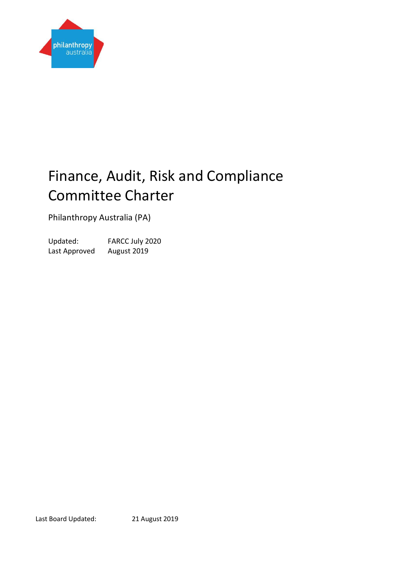

# Finance, Audit, Risk and Compliance Committee Charter

Philanthropy Australia (PA)

Updated: FARCC July 2020 Last Approved August 2019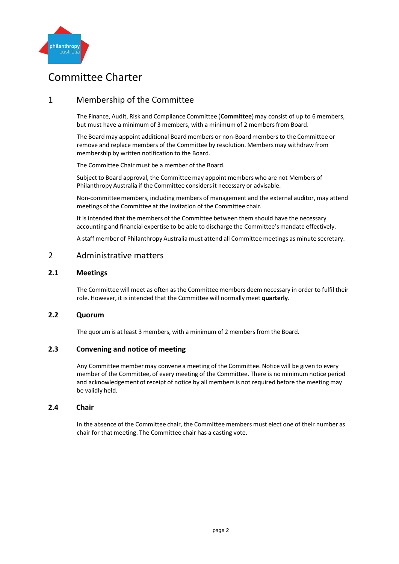

# Committee Charter

# 1 Membership of the Committee

The Finance, Audit, Risk and Compliance Committee (**Committee**) may consist of up to 6 members, but must have a minimum of 3 members, with a minimum of 2 members from Board.

The Board may appoint additional Board members or non-Board members to the Committee or remove and replace members of the Committee by resolution. Members may withdraw from membership by written notification to the Board.

The Committee Chair must be a member of the Board.

Subject to Board approval, the Committeemay appoint members who are not Members of Philanthropy Australia if the Committee considersit necessary or advisable.

Non-committee members, including members of management and the external auditor, may attend meetings of the Committee at the invitation of the Committee chair.

It is intended that the members of the Committee between them should have the necessary accounting and financial expertise to be able to discharge the Committee's mandate effectively.

A staff member of Philanthropy Australia must attend all Committee meetings as minute secretary.

### 2 Administrative matters

#### **2.1 Meetings**

The Committee will meet as often as the Committee members deem necessary in order to fulfil their role. However, it is intended that the Committee will normally meet **quarterly**.

#### **2.2 Quorum**

The quorum is at least 3 members, with a minimum of 2 members from the Board.

#### **2.3 Convening and notice of meeting**

Any Committee member may convene a meeting of the Committee. Notice will be given to every member of the Committee, of every meeting of the Committee. There is no minimum notice period and acknowledgement of receipt of notice by all membersis not required before the meeting may be validly held.

#### **2.4 Chair**

In the absence of the Committee chair, the Committee members must elect one of their number as chair for that meeting. The Committee chair has a casting vote.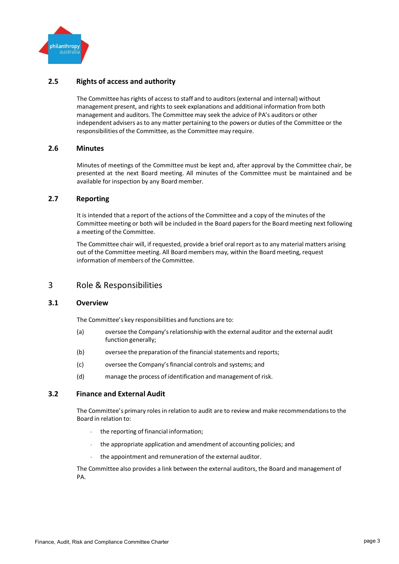

#### **2.5 Rights of access and authority**

The Committee has rights of access to staff and to auditors(external and internal) without management present, and rights to seek explanations and additional information from both management and auditors. The Committee may seek the advice of PA's auditors or other independent advisers as to any matter pertaining to the powers or duties of the Committee or the responsibilities of the Committee, as the Committee may require.

#### **2.6 Minutes**

Minutes of meetings of the Committee must be kept and, after approval by the Committee chair, be presented at the next Board meeting. All minutes of the Committee must be maintained and be available for inspection by any Board member.

#### **2.7 Reporting**

It is intended that a report of the actions of the Committee and a copy of the minutes of the Committee meeting or both will be included in the Board papersfor the Board meeting next following a meeting of the Committee.

The Committee chair will, if requested, provide a brief oral report as to any material matters arising out of the Committee meeting. All Board members may, within the Board meeting, request information of members of the Committee.

## 3 Role & Responsibilities

#### **3.1 Overview**

The Committee's key responsibilities and functions are to:

- (a) oversee the Company'srelationship with the external auditor and the external audit function generally;
- (b) oversee the preparation of the financial statements and reports;
- (c) oversee the Company'sfinancial controls and systems; and
- (d) manage the process of identification and management of risk.

#### **3.2 Finance and External Audit**

The Committee's primary roles in relation to audit are to review and make recommendationsto the Board in relation to:

- the reporting of financial information;
- the appropriate application and amendment of accounting policies; and
- the appointment and remuneration of the external auditor.

The Committee also provides a link between the external auditors, the Board and management of PA.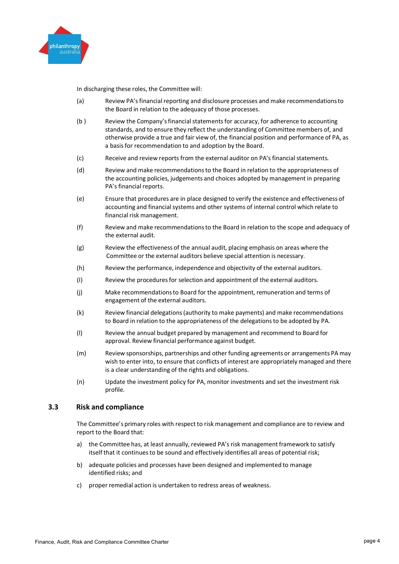

In discharging these roles, the Committee will:

- (a) Review PA'sfinancial reporting and disclosure processes and make recommendationsto the Board in relation to the adequacy of those processes.
- (b ) Review the Company'sfinancial statementsfor accuracy, for adherence to accounting standards, and to ensure they reflect the understanding of Committee members of, and otherwise provide a true and fair view of, the financial position and performance of PA, as a basisfor recommendation to and adoption by the Board.
- (c) Receive and review reports from the external auditor on PA's financial statements.
- (d) Review and make recommendationsto the Board in relation to the appropriateness of the accounting policies, judgements and choices adopted by managementin preparing PA's financial reports.
- (e) Ensure that procedures are in place designed to verify the existence and effectiveness of accounting and financial systems and other systems of internal control which relate to financial risk management.
- (f) Review and make recommendationsto the Board in relation to the scope and adequacy of the external audit.
- (g) Review the effectiveness of the annual audit, placing emphasis on areas where the Committee or the external auditors believe special attention is necessary.
- (h) Review the performance, independence and objectivity of the external auditors.
- (I) Review the proceduresfor selection and appointment of the external auditors.
- (j) Make recommendationsto Board for the appointment, remuneration and terms of engagement of the external auditors.
- (k) Review financial delegations(authority to make payments) and make recommendations to Board in relation to the appropriateness of the delegationsto be adopted by PA.
- (l) Review the annual budget prepared by management and recommend to Board for approval. Review financial performance against budget.
- (m) Review sponsorships, partnerships and other funding agreements or arrangements PA may wish to enter into, to ensure that conflicts of interest are appropriately managed and there is a clear understanding of the rights and obligations.
- (n) Update the investment policy for PA, monitor investments and set the investment risk profile.

#### **3.3 Risk and compliance**

The Committee's primary roles with respect to risk management and compliance are to review and report to the Board that:

- a) the Committee has, at least annually, reviewed PA's risk managementframework to satisfy itself that it continuesto be sound and effectively identifies all areas of potential risk;
- b) adequate policies and processes have been designed and implemented to manage identified risks; and
- c) proper remedial action is undertaken to redress areas of weakness.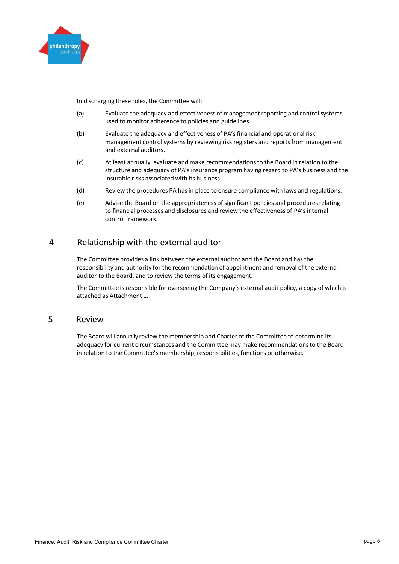

In discharging these roles, the Committee will:

- (a) Evaluate the adequacy and effectiveness of managementreporting and control systems used to monitor adherence to policies and guidelines.
- (b) Evaluate the adequacy and effectiveness of PA's financial and operational risk management control systems by reviewing risk registers and reports from management and external auditors.
- (c) At least annually, evaluate and make recommendationsto the Board in relation to the structure and adequacy of PA's insurance program having regard to PA's business and the insurable risks associated with its business.
- (d) Review the procedures PA hasin place to ensure compliance with laws and regulations.
- (e) Advise the Board on the appropriateness of significant policies and proceduresrelating to financial processes and disclosures and review the effectiveness of PA's internal control framework.

# 4 Relationship with the external auditor

The Committee provides a link between the external auditor and the Board and has the responsibility and authority for the recommendation of appointment and removal of the external auditor to the Board, and to review the terms of its engagement.

The Committee is responsible for overseeing the Company's external audit policy, a copy of which is attached as Attachment 1.

## 5 Review

The Board will annually review the membership and Charter of the Committee to determine its adequacy for current circumstances and the Committee may make recommendationsto the Board in relation to the Committee's membership, responsibilities, functions or otherwise.